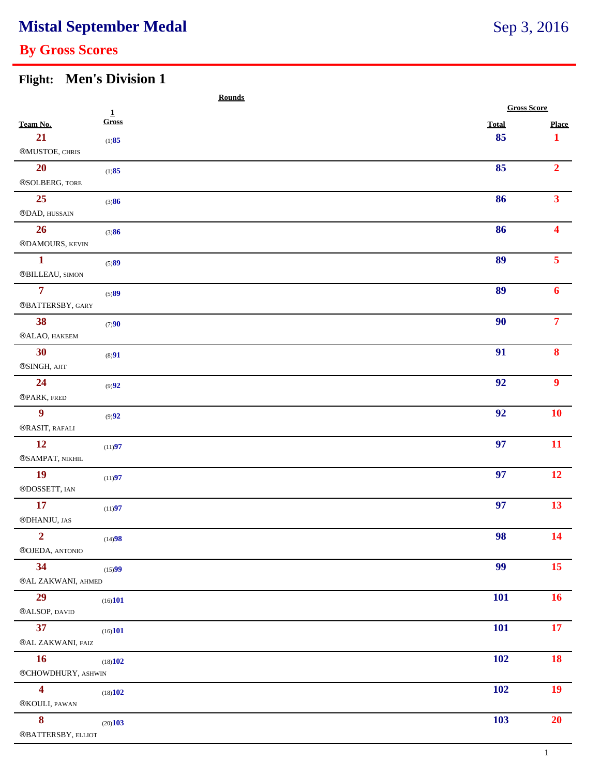# **Mistal September Medal**

## **By Gross Scores**

#### **Flight: Men's Division 1**

|                         |                | <b>Rounds</b> |                    |                  |
|-------------------------|----------------|---------------|--------------------|------------------|
|                         | $\overline{1}$ |               | <b>Gross Score</b> |                  |
| Team No.                | Gross          | <b>Total</b>  |                    | <b>Place</b>     |
| 21                      | (1)85          | 85            |                    | $\mathbf 1$      |
| ®MUSTOE, CHRIS          |                |               |                    |                  |
| <b>20</b>               | (1)85          | 85            |                    | 2 <sup>1</sup>   |
| ®SOLBERG, TORE          |                |               |                    |                  |
| 25                      | (3)86          | 86            |                    | 3 <sup>1</sup>   |
| ®DAD, HUSSAIN           |                |               |                    |                  |
| 26                      | (3)86          | 86            |                    | $\blacktriangle$ |
| ®DAMOURS, KEVIN         |                |               |                    |                  |
| $\mathbf{1}$            | (5)89          | 89            |                    | 5 <sup>5</sup>   |
| ®BILLEAU, SIMON         |                |               |                    |                  |
| $\overline{\tau}$       | (5)89          | 89            |                    | 6                |
| ®BATTERSBY, GARY        |                |               |                    |                  |
| 38                      | (7)90          | 90            |                    | 7 <sup>7</sup>   |
| ®ALAO, HAKEEM           |                |               |                    |                  |
| 30                      | (8)91          | 91            |                    | 8                |
| ®SINGH, AJIT            |                |               |                    |                  |
| 24                      | (9)92          | 92            |                    | $\boldsymbol{9}$ |
| ®PARK, FRED             |                |               |                    |                  |
| $\overline{9}$          | (9)92          | 92            |                    | <b>10</b>        |
| ®RASIT, RAFALI          |                |               |                    |                  |
| 12                      | (11)97         | 97            |                    | 11               |
| ®SAMPAT, NIKHIL         |                |               |                    |                  |
| <b>19</b>               | (11)97         | 97            |                    | 12               |
| ®DOSSETT, IAN           |                |               |                    |                  |
| 17                      | (11)97         | 97            |                    | 13               |
| ®DHANJU, JAS            |                |               |                    |                  |
| $\overline{2}$          | (14)98         | 98            |                    | <b>14</b>        |
| ®OJEDA, ANTONIO         |                |               |                    |                  |
| 34                      | (15)99         | 99            |                    | 15 <sup>7</sup>  |
| ®AL ZAKWANI, AHMED      |                |               |                    |                  |
| 29                      | (16)101        | <b>101</b>    |                    | 16               |
| ®ALSOP, DAVID           |                |               |                    |                  |
| 37                      | (16)101        | <b>101</b>    |                    | 17 <sup>7</sup>  |
| ®AL ZAKWANI, FAIZ       |                |               |                    |                  |
| <b>16</b>               | (18)102        | <b>102</b>    |                    | 18               |
| ®CHOWDHURY, ASHWIN      |                |               |                    |                  |
| $\overline{\mathbf{4}}$ | (18)102        | <b>102</b>    |                    | 19               |
| ®KOULI, PAWAN           |                |               |                    |                  |
| $\boldsymbol{8}$        | (20)103        | 103           |                    | 20               |
| ®BATTERSBY, ELLIOT      |                |               |                    |                  |
|                         |                |               |                    |                  |

Sep 3, 2016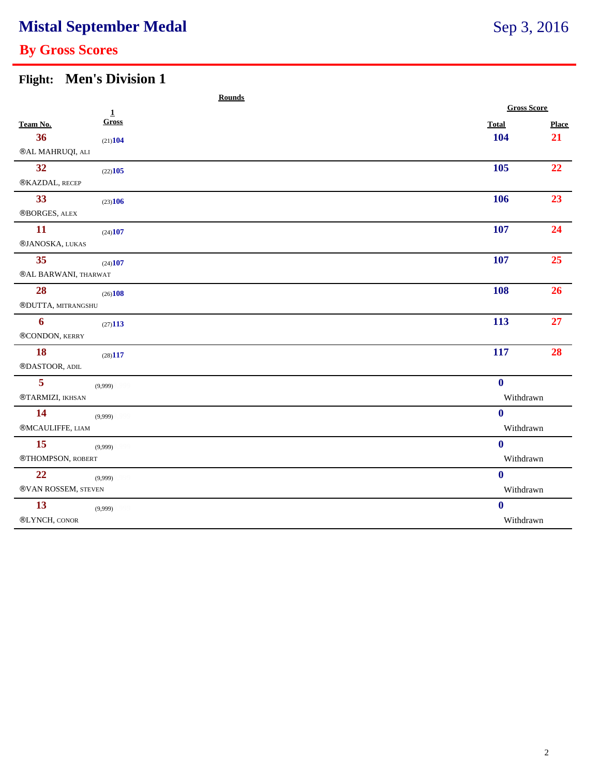# **Mistal September Medal**

## **By Gross Scores**

#### **Flight: Men's Division 1**

|                                           | <b>Rounds</b> |                  |                    |  |  |
|-------------------------------------------|---------------|------------------|--------------------|--|--|
|                                           | $\mathbf{1}$  |                  | <b>Gross Score</b> |  |  |
| Team No.                                  | Gross         | <b>Total</b>     | Place              |  |  |
| 36                                        | (21)104       | 104              | 21                 |  |  |
| ®AL MAHRUQI, ALI                          |               |                  |                    |  |  |
| 32                                        | (22)105       | 105              | 22                 |  |  |
| ®KAZDAL, RECEP                            |               |                  |                    |  |  |
| 33                                        | (23)106       | 106              | 23                 |  |  |
| ®BORGES, ALEX                             |               |                  |                    |  |  |
| 11                                        | (24)107       | 107              | 24                 |  |  |
| ®JANOSKA, LUKAS                           |               |                  |                    |  |  |
| 35                                        | (24)107       | 107              | 25                 |  |  |
| $@{\sf AL}$ BARWANI, THARWAT              |               |                  |                    |  |  |
| 28                                        | (26)108       | 108              | 26                 |  |  |
| ®DUTTA, MITRANGSHU                        |               |                  |                    |  |  |
| $\boldsymbol{6}$                          | (27)113       | 113              | 27                 |  |  |
| ®CONDON, KERRY                            |               |                  |                    |  |  |
| <b>18</b>                                 | (28)117       | 117              | 28                 |  |  |
| $@{\mathsf{DASTOOR}}$ , ${\mathsf{ADIL}}$ |               |                  |                    |  |  |
| 5                                         | (9,999)       | $\mathbf{0}$     |                    |  |  |
| ®TARMIZI, IKHSAN                          |               | Withdrawn        |                    |  |  |
| 14                                        | (9,999)       | $\bf{0}$         |                    |  |  |
| ®MCAULIFFE, LIAM                          |               | Withdrawn        |                    |  |  |
| 15                                        | (9,999)       | $\boldsymbol{0}$ |                    |  |  |
| ®THOMPSON, ROBERT                         |               | Withdrawn        |                    |  |  |
| 22                                        | (9,999)       | $\boldsymbol{0}$ |                    |  |  |
| ®VAN ROSSEM, STEVEN                       |               | Withdrawn        |                    |  |  |
| 13                                        | (9,999)       | $\bf{0}$         |                    |  |  |
| ®LYNCH, CONOR                             |               | Withdrawn        |                    |  |  |
|                                           |               |                  |                    |  |  |